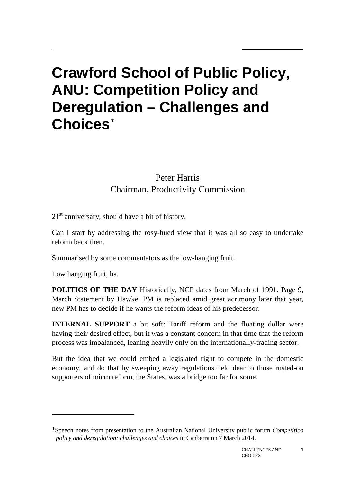## **Crawford School of Public Policy, ANU: Competition Policy and Deregulation – Challenges and Choices**[∗](#page-0-0)

## Peter Harris Chairman, Productivity Commission

 $21<sup>st</sup>$  anniversary, should have a bit of history.

Can I start by addressing the rosy-hued view that it was all so easy to undertake reform back then.

Summarised by some commentators as the low-hanging fruit.

Low hanging fruit, ha.

1

**POLITICS OF THE DAY** Historically, NCP dates from March of 1991. Page 9, March Statement by Hawke. PM is replaced amid great acrimony later that year, new PM has to decide if he wants the reform ideas of his predecessor.

**INTERNAL SUPPORT** a bit soft: Tariff reform and the floating dollar were having their desired effect, but it was a constant concern in that time that the reform process was imbalanced, leaning heavily only on the internationally-trading sector.

But the idea that we could embed a legislated right to compete in the domestic economy, and do that by sweeping away regulations held dear to those rusted-on supporters of micro reform, the States, was a bridge too far for some.

**1**

<span id="page-0-0"></span><sup>∗</sup>Speech notes from presentation to the Australian National University public forum *Competition policy and deregulation: challenges and choices* in Canberra on 7 March 2014.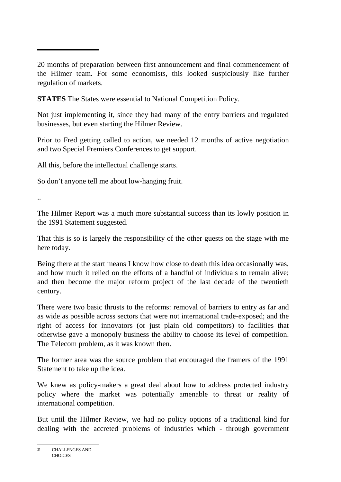20 months of preparation between first announcement and final commencement of the Hilmer team. For some economists, this looked suspiciously like further regulation of markets.

**STATES** The States were essential to National Competition Policy.

Not just implementing it, since they had many of the entry barriers and regulated businesses, but even starting the Hilmer Review.

Prior to Fred getting called to action, we needed 12 months of active negotiation and two Special Premiers Conferences to get support.

All this, before the intellectual challenge starts.

So don't anyone tell me about low-hanging fruit.

..

The Hilmer Report was a much more substantial success than its lowly position in the 1991 Statement suggested.

That this is so is largely the responsibility of the other guests on the stage with me here today.

Being there at the start means I know how close to death this idea occasionally was, and how much it relied on the efforts of a handful of individuals to remain alive; and then become the major reform project of the last decade of the twentieth century.

There were two basic thrusts to the reforms: removal of barriers to entry as far and as wide as possible across sectors that were not international trade-exposed; and the right of access for innovators (or just plain old competitors) to facilities that otherwise gave a monopoly business the ability to choose its level of competition. The Telecom problem, as it was known then.

The former area was the source problem that encouraged the framers of the 1991 Statement to take up the idea.

We knew as policy-makers a great deal about how to address protected industry policy where the market was potentially amenable to threat or reality of international competition.

But until the Hilmer Review, we had no policy options of a traditional kind for dealing with the accreted problems of industries which - through government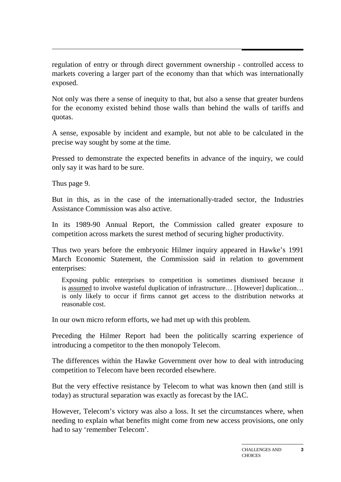regulation of entry or through direct government ownership - controlled access to markets covering a larger part of the economy than that which was internationally exposed.

Not only was there a sense of inequity to that, but also a sense that greater burdens for the economy existed behind those walls than behind the walls of tariffs and quotas.

A sense, exposable by incident and example, but not able to be calculated in the precise way sought by some at the time.

Pressed to demonstrate the expected benefits in advance of the inquiry, we could only say it was hard to be sure.

Thus page 9.

But in this, as in the case of the internationally-traded sector, the Industries Assistance Commission was also active.

In its 1989-90 Annual Report, the Commission called greater exposure to competition across markets the surest method of securing higher productivity.

Thus two years before the embryonic Hilmer inquiry appeared in Hawke's 1991 March Economic Statement, the Commission said in relation to government enterprises:

Exposing public enterprises to competition is sometimes dismissed because it is assumed to involve wasteful duplication of infrastructure… [However] duplication… is only likely to occur if firms cannot get access to the distribution networks at reasonable cost.

In our own micro reform efforts, we had met up with this problem.

Preceding the Hilmer Report had been the politically scarring experience of introducing a competitor to the then monopoly Telecom.

The differences within the Hawke Government over how to deal with introducing competition to Telecom have been recorded elsewhere.

But the very effective resistance by Telecom to what was known then (and still is today) as structural separation was exactly as forecast by the IAC.

However, Telecom's victory was also a loss. It set the circumstances where, when needing to explain what benefits might come from new access provisions, one only had to say 'remember Telecom'.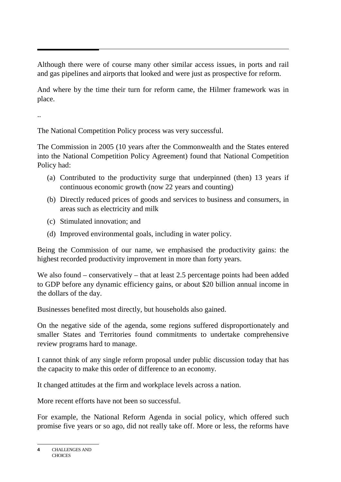Although there were of course many other similar access issues, in ports and rail and gas pipelines and airports that looked and were just as prospective for reform.

And where by the time their turn for reform came, the Hilmer framework was in place.

..

The National Competition Policy process was very successful.

The Commission in 2005 (10 years after the Commonwealth and the States entered into the National Competition Policy Agreement) found that National Competition Policy had:

- (a) Contributed to the productivity surge that underpinned (then) 13 years if continuous economic growth (now 22 years and counting)
- (b) Directly reduced prices of goods and services to business and consumers, in areas such as electricity and milk
- (c) Stimulated innovation; and
- (d) Improved environmental goals, including in water policy.

Being the Commission of our name, we emphasised the productivity gains: the highest recorded productivity improvement in more than forty years.

We also found – conservatively – that at least 2.5 percentage points had been added to GDP before any dynamic efficiency gains, or about \$20 billion annual income in the dollars of the day.

Businesses benefited most directly, but households also gained.

On the negative side of the agenda, some regions suffered disproportionately and smaller States and Territories found commitments to undertake comprehensive review programs hard to manage.

I cannot think of any single reform proposal under public discussion today that has the capacity to make this order of difference to an economy.

It changed attitudes at the firm and workplace levels across a nation.

More recent efforts have not been so successful.

For example, the National Reform Agenda in social policy, which offered such promise five years or so ago, did not really take off. More or less, the reforms have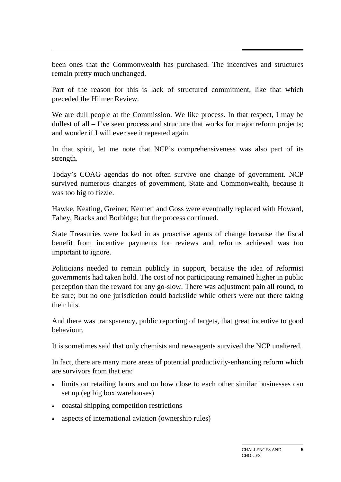been ones that the Commonwealth has purchased. The incentives and structures remain pretty much unchanged.

Part of the reason for this is lack of structured commitment, like that which preceded the Hilmer Review.

We are dull people at the Commission. We like process. In that respect, I may be dullest of all – I've seen process and structure that works for major reform projects; and wonder if I will ever see it repeated again.

In that spirit, let me note that NCP's comprehensiveness was also part of its strength.

Today's COAG agendas do not often survive one change of government. NCP survived numerous changes of government, State and Commonwealth, because it was too big to fizzle.

Hawke, Keating, Greiner, Kennett and Goss were eventually replaced with Howard, Fahey, Bracks and Borbidge; but the process continued.

State Treasuries were locked in as proactive agents of change because the fiscal benefit from incentive payments for reviews and reforms achieved was too important to ignore.

Politicians needed to remain publicly in support, because the idea of reformist governments had taken hold. The cost of not participating remained higher in public perception than the reward for any go-slow. There was adjustment pain all round, to be sure; but no one jurisdiction could backslide while others were out there taking their hits.

And there was transparency, public reporting of targets, that great incentive to good behaviour.

It is sometimes said that only chemists and newsagents survived the NCP unaltered.

In fact, there are many more areas of potential productivity-enhancing reform which are survivors from that era:

- limits on retailing hours and on how close to each other similar businesses can set up (eg big box warehouses)
- coastal shipping competition restrictions
- aspects of international aviation (ownership rules)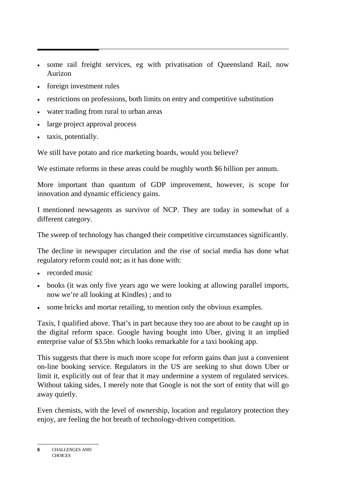- some rail freight services, eg with privatisation of Queensland Rail, now Aurizon
- foreign investment rules
- restrictions on professions, both limits on entry and competitive substitution
- water trading from rural to urban areas
- large project approval process
- taxis, potentially.

We still have potato and rice marketing boards, would you believe?

We estimate reforms in these areas could be roughly worth \$6 billion per annum.

More important than quantum of GDP improvement, however, is scope for innovation and dynamic efficiency gains.

I mentioned newsagents as survivor of NCP. They are today in somewhat of a different category.

The sweep of technology has changed their competitive circumstances significantly.

The decline in newspaper circulation and the rise of social media has done what regulatory reform could not; as it has done with:

- recorded music
- books (it was only five years ago we were looking at allowing parallel imports, now we're all looking at Kindles) ; and to
- some bricks and mortar retailing, to mention only the obvious examples.

Taxis, I qualified above. That's in part because they too are about to be caught up in the digital reform space. Google having bought into Uber, giving it an implied enterprise value of \$3.5bn which looks remarkable for a taxi booking app.

This suggests that there is much more scope for reform gains than just a convenient on-line booking service. Regulators in the US are seeking to shut down Uber or limit it, explicitly out of fear that it may undermine a system of regulated services. Without taking sides, I merely note that Google is not the sort of entity that will go away quietly.

Even chemists, with the level of ownership, location and regulatory protection they enjoy, are feeling the hot breath of technology-driven competition.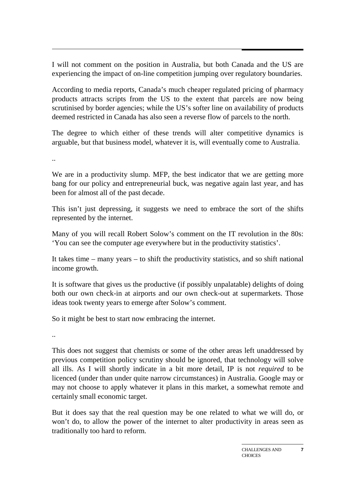I will not comment on the position in Australia, but both Canada and the US are experiencing the impact of on-line competition jumping over regulatory boundaries.

According to media reports, Canada's much cheaper regulated pricing of pharmacy products attracts scripts from the US to the extent that parcels are now being scrutinised by border agencies; while the US's softer line on availability of products deemed restricted in Canada has also seen a reverse flow of parcels to the north.

The degree to which either of these trends will alter competitive dynamics is arguable, but that business model, whatever it is, will eventually come to Australia.

..

We are in a productivity slump. MFP, the best indicator that we are getting more bang for our policy and entrepreneurial buck, was negative again last year, and has been for almost all of the past decade.

This isn't just depressing, it suggests we need to embrace the sort of the shifts represented by the internet.

Many of you will recall Robert Solow's comment on the IT revolution in the 80s: 'You can see the computer age everywhere but in the productivity statistics'.

It takes time – many years – to shift the productivity statistics, and so shift national income growth.

It is software that gives us the productive (if possibly unpalatable) delights of doing both our own check-in at airports and our own check-out at supermarkets. Those ideas took twenty years to emerge after Solow's comment.

So it might be best to start now embracing the internet.

..

This does not suggest that chemists or some of the other areas left unaddressed by previous competition policy scrutiny should be ignored, that technology will solve all ills. As I will shortly indicate in a bit more detail, IP is not *required* to be licenced (under than under quite narrow circumstances) in Australia. Google may or may not choose to apply whatever it plans in this market, a somewhat remote and certainly small economic target.

But it does say that the real question may be one related to what we will do, or won't do, to allow the power of the internet to alter productivity in areas seen as traditionally too hard to reform.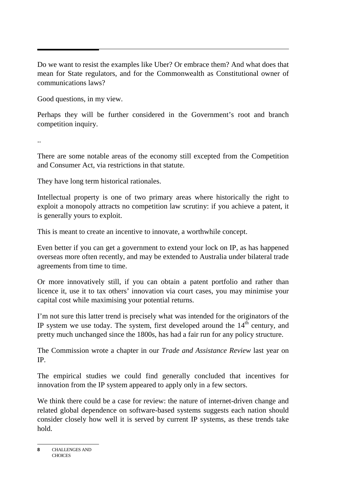Do we want to resist the examples like Uber? Or embrace them? And what does that mean for State regulators, and for the Commonwealth as Constitutional owner of communications laws?

Good questions, in my view.

Perhaps they will be further considered in the Government's root and branch competition inquiry.

..

There are some notable areas of the economy still excepted from the Competition and Consumer Act, via restrictions in that statute.

They have long term historical rationales.

Intellectual property is one of two primary areas where historically the right to exploit a monopoly attracts no competition law scrutiny: if you achieve a patent, it is generally yours to exploit.

This is meant to create an incentive to innovate, a worthwhile concept.

Even better if you can get a government to extend your lock on IP, as has happened overseas more often recently, and may be extended to Australia under bilateral trade agreements from time to time.

Or more innovatively still, if you can obtain a patent portfolio and rather than licence it, use it to tax others' innovation via court cases, you may minimise your capital cost while maximising your potential returns.

I'm not sure this latter trend is precisely what was intended for the originators of the IP system we use today. The system, first developed around the  $14<sup>th</sup>$  century, and pretty much unchanged since the 1800s, has had a fair run for any policy structure.

The Commission wrote a chapter in our *Trade and Assistance Review* last year on IP.

The empirical studies we could find generally concluded that incentives for innovation from the IP system appeared to apply only in a few sectors.

We think there could be a case for review: the nature of internet-driven change and related global dependence on software-based systems suggests each nation should consider closely how well it is served by current IP systems, as these trends take hold.